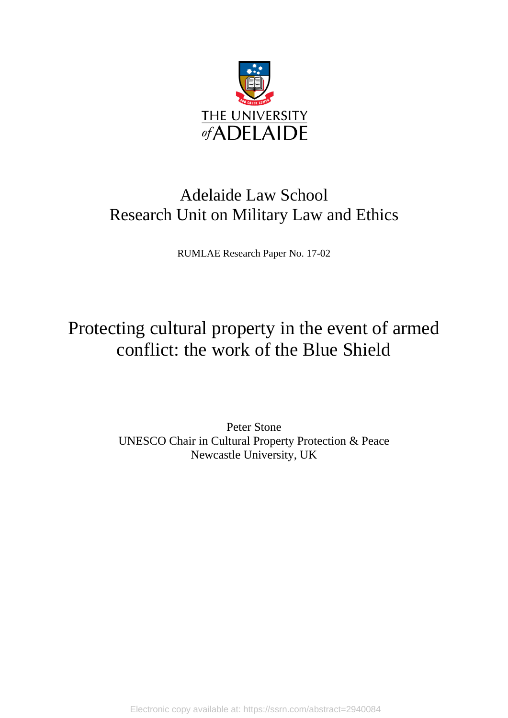

# Adelaide Law School Research Unit on Military Law and Ethics

RUMLAE Research Paper No. 17-02

# Protecting cultural property in the event of armed conflict: the work of the Blue Shield

Peter Stone UNESCO Chair in Cultural Property Protection & Peace Newcastle University, UK

Electronic copy available at: https://ssrn.com/abstract=2940084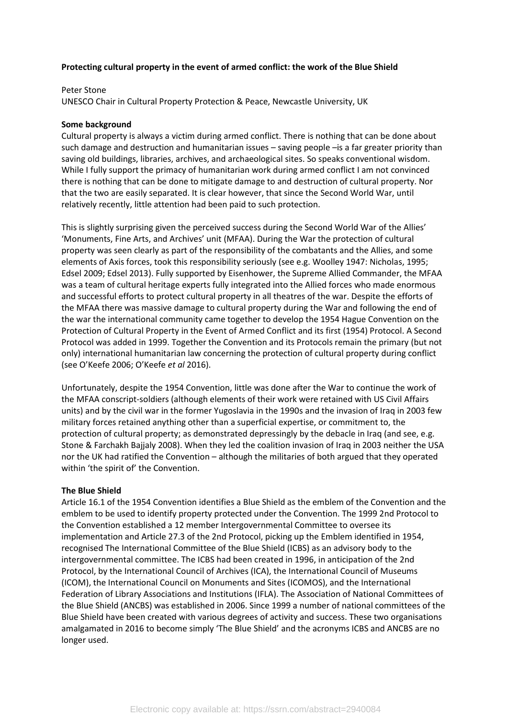### **Protecting cultural property in the event of armed conflict: the work of the Blue Shield**

#### Peter Stone

UNESCO Chair in Cultural Property Protection & Peace, Newcastle University, UK

#### **Some background**

Cultural property is always a victim during armed conflict. There is nothing that can be done about such damage and destruction and humanitarian issues – saving people –is a far greater priority than saving old buildings, libraries, archives, and archaeological sites. So speaks conventional wisdom. While I fully support the primacy of humanitarian work during armed conflict I am not convinced there is nothing that can be done to mitigate damage to and destruction of cultural property. Nor that the two are easily separated. It is clear however, that since the Second World War, until relatively recently, little attention had been paid to such protection.

This is slightly surprising given the perceived success during the Second World War of the Allies' 'Monuments, Fine Arts, and Archives' unit (MFAA). During the War the protection of cultural property was seen clearly as part of the responsibility of the combatants and the Allies, and some elements of Axis forces, took this responsibility seriously (see e.g. Woolley 1947: Nicholas, 1995; Edsel 2009; Edsel 2013). Fully supported by Eisenhower, the Supreme Allied Commander, the MFAA was a team of cultural heritage experts fully integrated into the Allied forces who made enormous and successful efforts to protect cultural property in all theatres of the war. Despite the efforts of the MFAA there was massive damage to cultural property during the War and following the end of the war the international community came together to develop the 1954 Hague Convention on the Protection of Cultural Property in the Event of Armed Conflict and its first (1954) Protocol. A Second Protocol was added in 1999. Together the Convention and its Protocols remain the primary (but not only) international humanitarian law concerning the protection of cultural property during conflict (see O'Keefe 2006; O'Keefe *et al* 2016).

Unfortunately, despite the 1954 Convention, little was done after the War to continue the work of the MFAA conscript-soldiers (although elements of their work were retained with US Civil Affairs units) and by the civil war in the former Yugoslavia in the 1990s and the invasion of Iraq in 2003 few military forces retained anything other than a superficial expertise, or commitment to, the protection of cultural property; as demonstrated depressingly by the debacle in Iraq (and see, e.g. Stone & Farchakh Bajjaly 2008). When they led the coalition invasion of Iraq in 2003 neither the USA nor the UK had ratified the Convention – although the militaries of both argued that they operated within 'the spirit of' the Convention.

## **The Blue Shield**

Article 16.1 of the 1954 Convention identifies a Blue Shield as the emblem of the Convention and the emblem to be used to identify property protected under the Convention. The 1999 2nd Protocol to the Convention established a 12 member Intergovernmental Committee to oversee its implementation and Article 27.3 of the 2nd Protocol, picking up the Emblem identified in 1954, recognised The International Committee of the Blue Shield (ICBS) as an advisory body to the intergovernmental committee. The ICBS had been created in 1996, in anticipation of the 2nd Protocol, by the International Council of Archives (ICA), the International Council of Museums (ICOM), the International Council on Monuments and Sites (ICOMOS), and the International Federation of Library Associations and Institutions (IFLA). The Association of National Committees of the Blue Shield (ANCBS) was established in 2006. Since 1999 a number of national committees of the Blue Shield have been created with various degrees of activity and success. These two organisations amalgamated in 2016 to become simply 'The Blue Shield' and the acronyms ICBS and ANCBS are no longer used.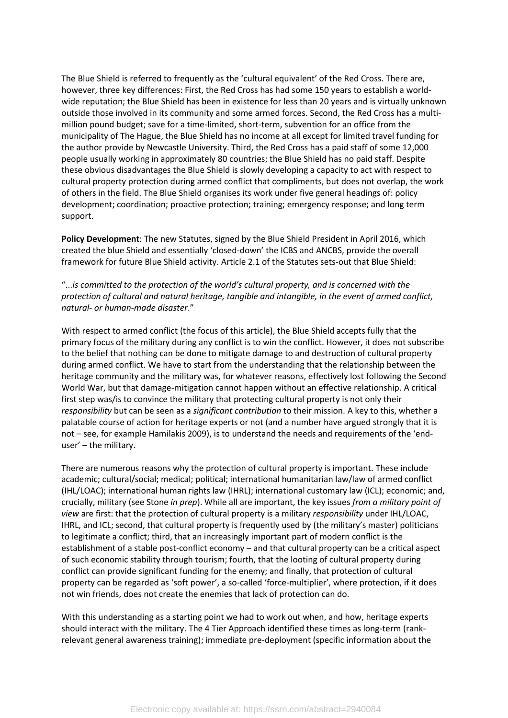The Blue Shield is referred to frequently as the 'cultural equivalent' of the Red Cross. There are, however, three key differences: First, the Red Cross has had some 150 years to establish a worldwide reputation; the Blue Shield has been in existence for less than 20 years and is virtually unknown outside those involved in its community and some armed forces. Second, the Red Cross has a multimillion pound budget; save for a time-limited, short-term, subvention for an office from the municipality of The Hague, the Blue Shield has no income at all except for limited travel funding for the author provide by Newcastle University. Third, the Red Cross has a paid staff of some 12,000 people usually working in approximately 80 countries; the Blue Shield has no paid staff. Despite these obvious disadvantages the Blue Shield is slowly developing a capacity to act with respect to cultural property protection during armed conflict that compliments, but does not overlap, the work of others in the field. The Blue Shield organises its work under five general headings of: policy development; coordination; proactive protection; training; emergency response; and long term support.

**Policy Development**: The new Statutes, signed by the Blue Shield President in April 2016, which created the blue Shield and essentially 'closed-down' the ICBS and ANCBS, provide the overall framework for future Blue Shield activity. Article 2.1 of the Statutes sets-out that Blue Shield:

"...*is committed to the protection of the world's cultural property, and is concerned with the protection of cultural and natural heritage, tangible and intangible, in the event of armed conflict, natural- or human-made disaster*."

With respect to armed conflict (the focus of this article), the Blue Shield accepts fully that the primary focus of the military during any conflict is to win the conflict. However, it does not subscribe to the belief that nothing can be done to mitigate damage to and destruction of cultural property during armed conflict. We have to start from the understanding that the relationship between the heritage community and the military was, for whatever reasons, effectively lost following the Second World War, but that damage-mitigation cannot happen without an effective relationship. A critical first step was/is to convince the military that protecting cultural property is not only their *responsibility* but can be seen as a *significant contribution* to their mission. A key to this, whether a palatable course of action for heritage experts or not (and a number have argued strongly that it is not – see, for example Hamilakis 2009), is to understand the needs and requirements of the 'enduser' – the military.

There are numerous reasons why the protection of cultural property is important. These include academic; cultural/social; medical; political; international humanitarian law/law of armed conflict (IHL/LOAC); international human rights law (IHRL); international customary law (ICL); economic; and, crucially, military (see Stone *in prep*). While all are important, the key issues *from a military point of view* are first: that the protection of cultural property is a military *responsibility* under IHL/LOAC, IHRL, and ICL; second, that cultural property is frequently used by (the military's master) politicians to legitimate a conflict; third, that an increasingly important part of modern conflict is the establishment of a stable post-conflict economy – and that cultural property can be a critical aspect of such economic stability through tourism; fourth, that the looting of cultural property during conflict can provide significant funding for the enemy; and finally, that protection of cultural property can be regarded as 'soft power', a so-called 'force-multiplier', where protection, if it does not win friends, does not create the enemies that lack of protection can do.

With this understanding as a starting point we had to work out when, and how, heritage experts should interact with the military. The 4 Tier Approach identified these times as long-term (rankrelevant general awareness training); immediate pre-deployment (specific information about the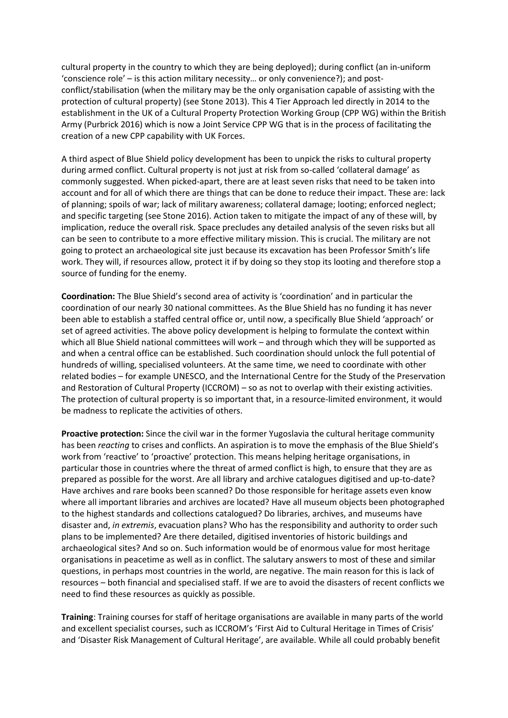cultural property in the country to which they are being deployed); during conflict (an in-uniform 'conscience role' – is this action military necessity… or only convenience?); and postconflict/stabilisation (when the military may be the only organisation capable of assisting with the protection of cultural property) (see Stone 2013). This 4 Tier Approach led directly in 2014 to the establishment in the UK of a Cultural Property Protection Working Group (CPP WG) within the British Army (Purbrick 2016) which is now a Joint Service CPP WG that is in the process of facilitating the creation of a new CPP capability with UK Forces.

A third aspect of Blue Shield policy development has been to unpick the risks to cultural property during armed conflict. Cultural property is not just at risk from so-called 'collateral damage' as commonly suggested. When picked-apart, there are at least seven risks that need to be taken into account and for all of which there are things that can be done to reduce their impact. These are: lack of planning; spoils of war; lack of military awareness; collateral damage; looting; enforced neglect; and specific targeting (see Stone 2016). Action taken to mitigate the impact of any of these will, by implication, reduce the overall risk. Space precludes any detailed analysis of the seven risks but all can be seen to contribute to a more effective military mission. This is crucial. The military are not going to protect an archaeological site just because its excavation has been Professor Smith's life work. They will, if resources allow, protect it if by doing so they stop its looting and therefore stop a source of funding for the enemy.

**Coordination:** The Blue Shield's second area of activity is 'coordination' and in particular the coordination of our nearly 30 national committees. As the Blue Shield has no funding it has never been able to establish a staffed central office or, until now, a specifically Blue Shield 'approach' or set of agreed activities. The above policy development is helping to formulate the context within which all Blue Shield national committees will work – and through which they will be supported as and when a central office can be established. Such coordination should unlock the full potential of hundreds of willing, specialised volunteers. At the same time, we need to coordinate with other related bodies – for example UNESCO, and the International Centre for the Study of the Preservation and Restoration of Cultural Property (ICCROM) – so as not to overlap with their existing activities. The protection of cultural property is so important that, in a resource-limited environment, it would be madness to replicate the activities of others.

**Proactive protection:** Since the civil war in the former Yugoslavia the cultural heritage community has been *reacting* to crises and conflicts. An aspiration is to move the emphasis of the Blue Shield's work from 'reactive' to 'proactive' protection. This means helping heritage organisations, in particular those in countries where the threat of armed conflict is high, to ensure that they are as prepared as possible for the worst. Are all library and archive catalogues digitised and up-to-date? Have archives and rare books been scanned? Do those responsible for heritage assets even know where all important libraries and archives are located? Have all museum objects been photographed to the highest standards and collections catalogued? Do libraries, archives, and museums have disaster and, *in extremis*, evacuation plans? Who has the responsibility and authority to order such plans to be implemented? Are there detailed, digitised inventories of historic buildings and archaeological sites? And so on. Such information would be of enormous value for most heritage organisations in peacetime as well as in conflict. The salutary answers to most of these and similar questions, in perhaps most countries in the world, are negative. The main reason for this is lack of resources – both financial and specialised staff. If we are to avoid the disasters of recent conflicts we need to find these resources as quickly as possible.

**Training**: Training courses for staff of heritage organisations are available in many parts of the world and excellent specialist courses, such as ICCROM's 'First Aid to Cultural Heritage in Times of Crisis' and 'Disaster Risk Management of Cultural Heritage', are available. While all could probably benefit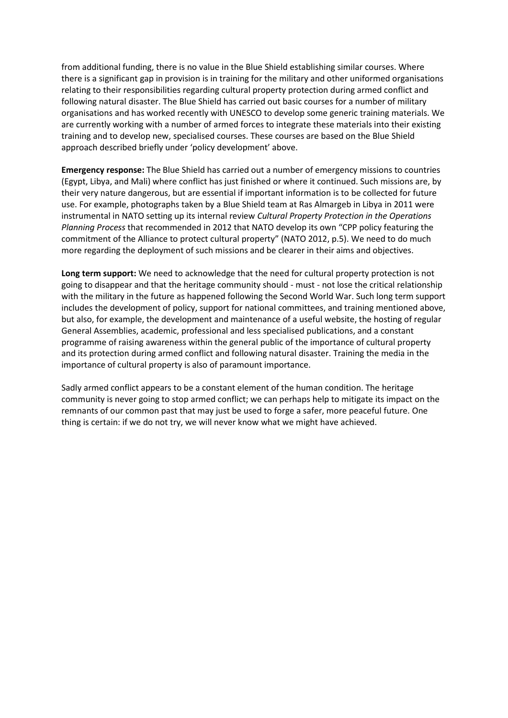from additional funding, there is no value in the Blue Shield establishing similar courses. Where there is a significant gap in provision is in training for the military and other uniformed organisations relating to their responsibilities regarding cultural property protection during armed conflict and following natural disaster. The Blue Shield has carried out basic courses for a number of military organisations and has worked recently with UNESCO to develop some generic training materials. We are currently working with a number of armed forces to integrate these materials into their existing training and to develop new, specialised courses. These courses are based on the Blue Shield approach described briefly under 'policy development' above.

**Emergency response:** The Blue Shield has carried out a number of emergency missions to countries (Egypt, Libya, and Mali) where conflict has just finished or where it continued. Such missions are, by their very nature dangerous, but are essential if important information is to be collected for future use. For example, photographs taken by a Blue Shield team at Ras Almargeb in Libya in 2011 were instrumental in NATO setting up its internal review *Cultural Property Protection in the Operations Planning Process* that recommended in 2012 that NATO develop its own "CPP policy featuring the commitment of the Alliance to protect cultural property" (NATO 2012, p.5). We need to do much more regarding the deployment of such missions and be clearer in their aims and objectives.

**Long term support:** We need to acknowledge that the need for cultural property protection is not going to disappear and that the heritage community should - must - not lose the critical relationship with the military in the future as happened following the Second World War. Such long term support includes the development of policy, support for national committees, and training mentioned above, but also, for example, the development and maintenance of a useful website, the hosting of regular General Assemblies, academic, professional and less specialised publications, and a constant programme of raising awareness within the general public of the importance of cultural property and its protection during armed conflict and following natural disaster. Training the media in the importance of cultural property is also of paramount importance.

Sadly armed conflict appears to be a constant element of the human condition. The heritage community is never going to stop armed conflict; we can perhaps help to mitigate its impact on the remnants of our common past that may just be used to forge a safer, more peaceful future. One thing is certain: if we do not try, we will never know what we might have achieved.